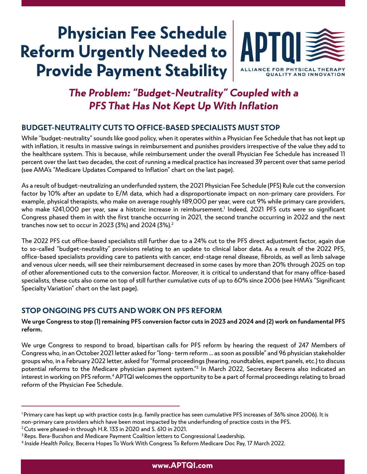# **Physician Fee Schedule Reform Urgently Needed to Provide Payment Stability**



### **The Problem: "Budget-Neutrality" Coupled with a PFS That Has Not Kept Up With Inflation**

### **BUDGET-NEUTRALITY CUTS TO OFFICE-BASED SPECIALISTS MUST STOP**

While "budget-neutrality" sounds like good policy, when it operates within a Physician Fee Schedule that has not kept up with inflation, it results in massive swings in reimbursement and punishes providers irrespective of the value they add to the healthcare system. This is because, while reimbursement under the overall Physician Fee Schedule has increased 11 percent over the last two decades, the cost of running a medical practice has increased 39 percent over that same period (see AMA's "Medicare Updates Compared to Inflation" chart on the last page).

As a result of budget-neutralizing an underfunded system, the 2021 Physician Fee Schedule (PFS) Rule cut the conversion factor by 10% after an update to E/M data, which had a disproportionate impact on non-primary care providers. For example, physical therapists, who make on average roughly \$89,000 per year, were cut 9% while primary care providers, who make \$241,000 per year, saw a historic increase in reimbursement.<sup>1</sup> Indeed, 2021 PFS cuts were so significant Congress phased them in with the first tranche occurring in 2021, the second tranche occurring in 2022 and the next tranches now set to occur in 2023 (3%) and 2024 (3%).2

The 2022 PFS cut office-based specialists still further due to a 24% cut to the PFS direct adjustment factor, again due to so-called "budget-neutrality" provisions relating to an update to clinical labor data. As a result of the 2022 PFS, office-based specialists providing care to patients with cancer, end-stage renal disease, fibroids, as well as limb salvage and venous ulcer needs, will see their reimbursement decreased in some cases by more than 20% through 2025 on top of other aforementioned cuts to the conversion factor. Moreover, it is critical to understand that for many office-based specialists, these cuts also come on top of still further cumulative cuts of up to 60% since 2006 (see HMA's "Significant Specialty Variation" chart on the last page).

#### **STOP ONGOING PFS CUTS AND WORK ON PFS REFORM**

**We urge Congress to stop (1) remaining PFS conversion factor cuts in 2023 and 2024 and (2) work on fundamental PFS reform.**

We urge Congress to respond to broad, bipartisan calls for PFS reform by hearing the request of 247 Members of Congress who, in an October 2021 letter asked for "long- term reform … as soon as possible" and 96 physician stakeholder groups who, in a February 2022 letter, asked for "formal proceedings (hearing, roundtables, expert panels, etc.) to discuss potential reforms to the Medicare physician payment system."<sup>3</sup> In March 2022, Secretary Becerra also indicated an interest in working on PFS reform.<sup>4</sup> APTQI welcomes the opportunity to be a part of formal proceedings relating to broad reform of the Physician Fee Schedule.

2 Cuts were phased-in through H.R. 133 in 2020 and S. 610 in 2021.

<sup>&</sup>lt;sup>1</sup> Primary care has kept up with practice costs (e.g. family practice has seen cumulative PFS increases of 36% since 2006). It is non-primary care providers which have been most impacted by the underfunding of practice costs in the PFS.

<sup>3</sup> Reps. Bera-Bucshon and Medicare Payment Coalition letters to Congressional Leadership.

<sup>4</sup> Inside Health Policy, Becerra Hopes To Work With Congress To Reform Medicare Doc Pay, 17 March 2022.